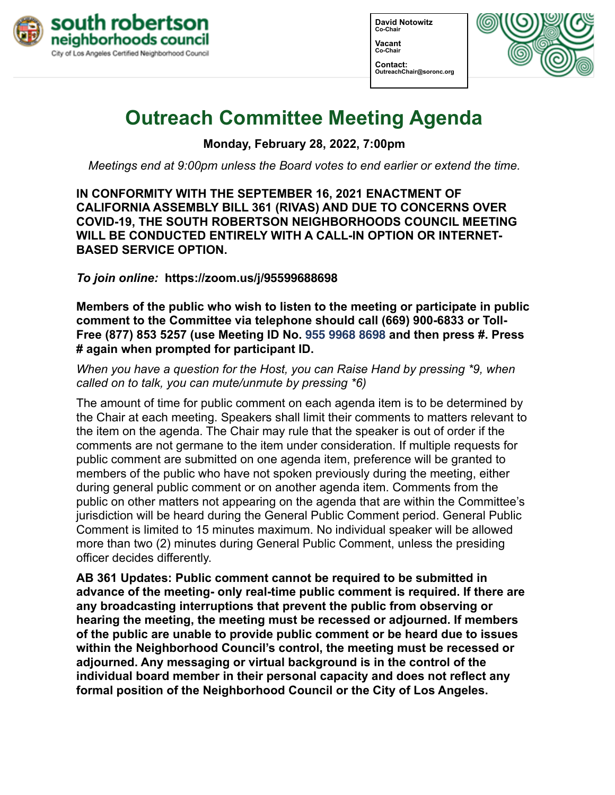

**David Notowitz Co-Chair Vacant Co-Chair Contact: OutreachChair@soronc.org**



# **Outreach Committee Meeting Agenda**

**Monday, February 28, 2022, 7:00pm**

*Meetings end at 9:00pm unless the Board votes to end earlier or extend the time.*

**IN CONFORMITY WITH THE SEPTEMBER 16, 2021 ENACTMENT OF CALIFORNIA ASSEMBLY BILL 361 (RIVAS) AND DUE TO CONCERNS OVER COVID-19, THE SOUTH ROBERTSON NEIGHBORHOODS COUNCIL MEETING WILL BE CONDUCTED ENTIRELY WITH A CALL-IN OPTION OR INTERNET-BASED SERVICE OPTION.**

*To join online:* **[https://zoom.us/j/](https://zoom.us/j/95599688698%2520)95599688698** 

**Members of the public who wish to listen to the meeting or participate in public comment to the Committee via telephone should call (669) 900-6833 or Toll-Free (877) 853 5257 (use Meeting ID No. 955 9968 8698 and then press #. Press # again when prompted for participant ID.** 

*When you have a question for the Host, you can Raise Hand by pressing \*9, when called on to talk, you can mute/unmute by pressing \*6)* 

The amount of time for public comment on each agenda item is to be determined by the Chair at each meeting. Speakers shall limit their comments to matters relevant to the item on the agenda. The Chair may rule that the speaker is out of order if the comments are not germane to the item under consideration. If multiple requests for public comment are submitted on one agenda item, preference will be granted to members of the public who have not spoken previously during the meeting, either during general public comment or on another agenda item. Comments from the public on other matters not appearing on the agenda that are within the Committee's jurisdiction will be heard during the General Public Comment period. General Public Comment is limited to 15 minutes maximum. No individual speaker will be allowed more than two (2) minutes during General Public Comment, unless the presiding officer decides differently.

**AB 361 Updates: Public comment cannot be required to be submitted in advance of the meeting- only real-time public comment is required. If there are any broadcasting interruptions that prevent the public from observing or hearing the meeting, the meeting must be recessed or adjourned. If members of the public are unable to provide public comment or be heard due to issues within the Neighborhood Council's control, the meeting must be recessed or adjourned. Any messaging or virtual background is in the control of the individual board member in their personal capacity and does not reflect any formal position of the Neighborhood Council or the City of Los Angeles.**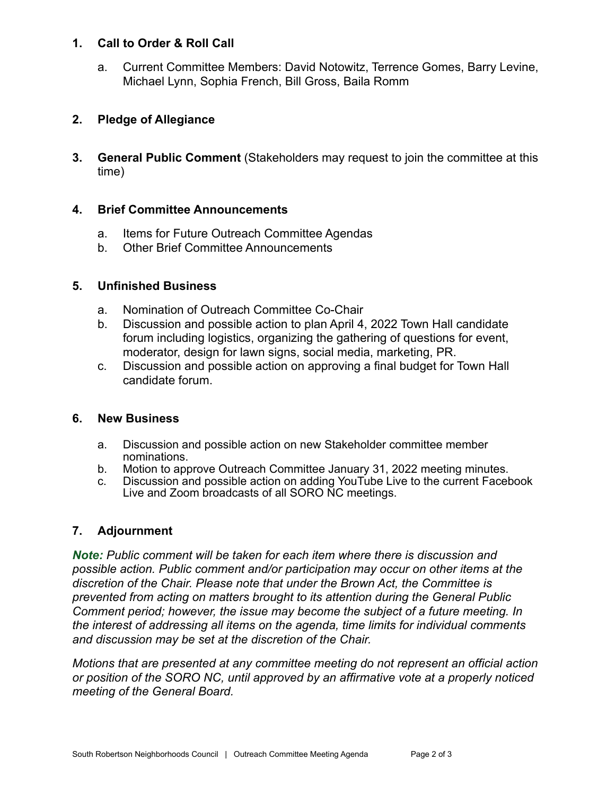### **1. Call to Order & Roll Call**

a. Current Committee Members: David Notowitz, Terrence Gomes, Barry Levine, Michael Lynn, Sophia French, Bill Gross, Baila Romm

# **2. Pledge of Allegiance**

**3. General Public Comment** (Stakeholders may request to join the committee at this time)

#### **4. Brief Committee Announcements**

- a. Items for Future Outreach Committee Agendas
- b. Other Brief Committee Announcements

## **5. Unfinished Business**

- a. Nomination of Outreach Committee Co-Chair
- b. Discussion and possible action to plan April 4, 2022 Town Hall candidate forum including logistics, organizing the gathering of questions for event, moderator, design for lawn signs, social media, marketing, PR.
- c. Discussion and possible action on approving a final budget for Town Hall candidate forum.

#### **6. New Business**

- a. Discussion and possible action on new Stakeholder committee member nominations.
- b. Motion to approve Outreach Committee January 31, 2022 meeting minutes.
- c. Discussion and possible action on adding YouTube Live to the current Facebook Live and Zoom broadcasts of all SORO NC meetings.

# **7. Adjournment**

*Note: Public comment will be taken for each item where there is discussion and possible action. Public comment and/or participation may occur on other items at the discretion of the Chair. Please note that under the Brown Act, the Committee is prevented from acting on matters brought to its attention during the General Public Comment period; however, the issue may become the subject of a future meeting. In the interest of addressing all items on the agenda, time limits for individual comments and discussion may be set at the discretion of the Chair.*

*Motions that are presented at any committee meeting do not represent an official action or position of the SORO NC, until approved by an affirmative vote at a properly noticed meeting of the General Board.*